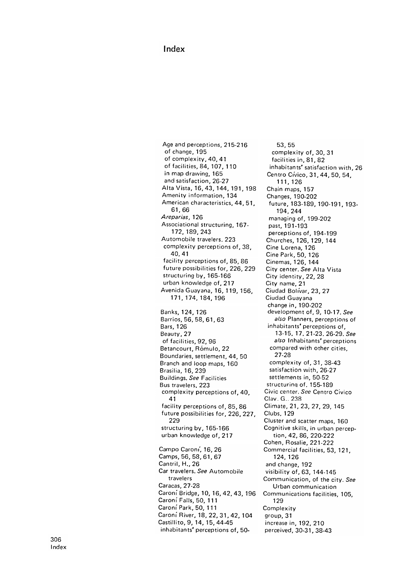## Index

Age and perceptions, 215-216 of change, 195 of complexity, 40, 41 of facilities, 84, 107, 110 in map drawing, 165 and satisfaction, 26-27 Alta Vista, 16, 43, 144, 191, 198 Amenity information, 134 American characteristics, 44, 51, 61 , 66 Areparias, 126 Associational structuring, 167-172 , 189 , 243 Automobile travelers, 223 complexity perceptions of, 38, 40 . 41 facility perceptions of, 85, 86 future possibilities for, 226, 229 structuring by, 165-166 urban knowledge of, 217 Avenida Guayana, 16, 119, 156, 171 , 174 , 184 , 196 Banks, 124, 126 Barrios, 56, 58, 61, 63 Bars, 126 Beauty, 27 of facilities, 92, 96 Betancourt, Rómulo, 22 Boundaries, settlement, 44, 50 Branch and loop maps, 160 Brasilia, 16, 239 Buildings, See Facilities Bus travelers, 223 complexity perceptions of, 40, 41 facility perceptions of , 85 , 86 future possibilities for , 226 , 227 , 229 structuring by, 165-166 urban knowledge of, 217 Campo Caroni, 16, 26 Camps, 56, 58, 61, 67 Cantril, H., 26 Car travelers. See Automobile travelers Caracas, 27-28 Caroni Bridge, 10, 16, 42, 43, 196 Caroní Falls, 50, 111 Caroni Park , 50 , 111 Caroni River, 18, 22, 31, 42, 104 Castillito, 9, 14, 15, 44-45 inhabitants' perceptions of, 50-

53, 55 complexity of, 30, 31 facilities in, 81, 82 inhabitants' satisfaction with, 26 Centro Clvico, 31, 44, 50, 54, 111, 126 Chain maps, 157 Changes, 190-202 future , 183-189, 190-191, 193- 194, 244 managing of, 199-202 past, 191-193 perceptions of, 194-199 Churches, 126, 129, 144 Cine Lorena, 126 Cine Park, 50, 126 Cinemas, 126, 144 City center. See Alta Vista City identity, 22, 28 City name, 21 Ciudad Bolivar, 23, 27 Ciudad Guayana change in, 190-202 development of, 9, 10-17. See also Planners, perceptions of inhabitants' perceptions of, 13-15. 17. 21-23. 26-29. See also Inhabitants' perceptions compared with other cities, 27-28 complexity of, 31, 38-43 satisfaction with, 26-27 settlements in, 50-52 structuring of, 155-189 Civic center. See Centro Civico Clav. G.. 238 Climate, 21, 23, 27, 29, 145 Clubs. 129 Cluster and scatter maps, 160 Cognitive skills, in urban perception, 42, 86, 220-222 Cohen, Rosalie, 221-222 Commercial facilities, 53, 121, 124, 126 and change, 192 visibility of , 63, 144-145 Communication, of the city. See Urban communication Communications facilities, 105, 129 **Complexity** group, 31 increase in, 192, 210 perceived, 30-31, 38-43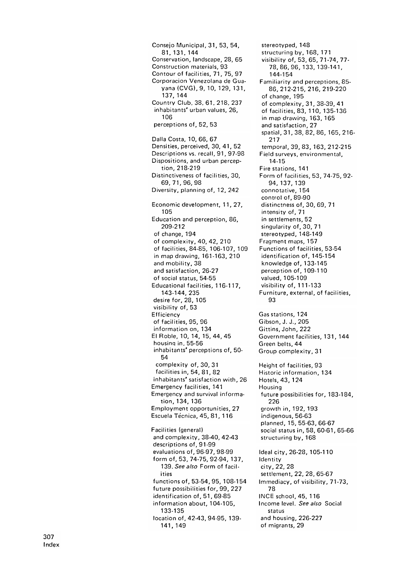Consejo Municipal, 31, 53, 54, 81, 131, 144 Conservation, landscape, 28, 65 Construction materials, 93 Contour of facilities, 71, 75, 97 Corporacion Venezolana de Guayana (CVG), 9, 10, 129, 131, 137 , 144 Country Club, 38, 61, 218, 237 inhabitants' urban values, 26, 106 perceptions of, 52, 53 Dalla Costa, 10, 66, 67 Densities, perceived, 30, 41, 52 Descriptions vs. recall, 91, 97-98 Dispositions, and urban perception, 218-219 Distinctiveness of facilities, 30, 69, 71, 96, 98 Diversity, planning of, 12, 242 Economic development, 11, 27, 105 Education and perception, 86, 209-212 of change, 194 of complexity, 40, 42, 210 of facilities, 84-85, 106-107, 109 in map drawing, 161-163, 210 and mobility, 38 and satisfaction, 26-27 of social status, 54-55 Educational facilities, 116-117, 143-144, 235 desire for, 28, 105 visibility of, 53 Efficiency of facilities, 95, 96 information on, 134 El Roble, 10, 14, 15, 44, 45 housing in, 55-56 inhabitants' perceptions of, 50-54 complexity of, 30, 31 facilities in, 54, 81, 82 inhabitants' satisfaction with, 26 Emergency facilities, 141 Emergency and survival information, 134, 136 Employment opportunities, 27 Escuela Técnica, 45, 81, 116 Facilities (general) and complexity, 38-40, 42-43 descriptions of, 91-99 evaluations of , 96 -97 , 98 -99 form of, 53, 74-75, 92-94, 137, 139. See also Form of facilities functions of, 53-54, 95, 108-154 future possibilities for, 99, 227 identification of, 51, 69-85 information about, 104-105, 133 - 135 location of, 42-43, 94-95, 139-141 , 149

stereotyped, 148 structuring by, 168, 171 visibility of, 53, 65, 71-74, 77-78 , 86 , 96 , 133 , 139 - 141 , 144-154 Familiarity and perceptions, 85-86 , 212 -215 , 216 , 219 -220 of change, 195 of complexity, 31, 38-39, 41 of facilities, 83, 110, 135-136 in map drawing, 163, 165 and satisfaction, 27 spatial, 31, 38, 82, 86, 165, 216-217 temporal, 39, 83, 163, 212-215 Field surveys, environmental, 14 - 15 Fire stations, 141 Form of facilities , 53 , 74 -75 , 92 - 94 , 137 , 139 connotative, 154 control of, 89-90 distinctness of, 30, 69, 71 intensity of, 71 in settlements, 52 singularity of, 30, 71 stereotyped, 148-149 Fragment maps, 157 Functions of facilities, 53-54 identification of, 145-154 knowledge of, 133-145 perception of, 109-110 valued, 105-109 visibility of, 111-133 Furniture, external, of facilities, 93 Gas stations, 124 Gibson, J. J., 205 Gittins, John, 222 Government facilities, 131, 144 Green belts, 44 Group complexity, 31 Height of facilities, 93 Historic information, 134 Hotels, 43, 124 Housing future possibilities for, 183-184, 226 growth in, 192, 193 indigenous, 56-63 planned, 15, 55-63, 66-67 social status in , 58 , 60 -61 , 65 -66 structuring by, 168 Ideal city, 26-28, 105-110 Identity city, 22, 28 settlement, 22, 28, 65-67 Immediacy, of visibility, 71-73, 78 INCE school , 45 , 116 Income level. See also Social status and housing, 226-227 of migrants, 29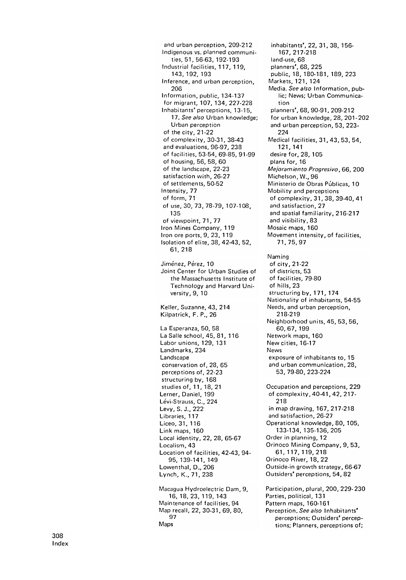and urban perception, 209-212 Indigenous vs. planned communities, 51, 56-63, 192-193 Industrial facilities, 117, 119, 143 , 192 , 193 Inference, and urban perception, 206 Information, public, 134-137 for migrant, 107, 134, 227-228 Inhabitants' perceptions, 13-15, 17. See also Urban knowledge: Urban perception of the city, 21-22 of complexity, 30-31, 38-43 and evaluations, 96-97, 238 of facilities, 53-54, 69-85, 91-99 of housing , 56 , 58 , 60 of the landscape, 22-23 satisfaction with, 26-27 of settlements, 50-52 Intensity, 77 of form, 71 of use, 30, 73, 78-79, 107-108, 135 of viewpoint, 71, 77 Iron Mines Company, 119 Iron ore ports, 9, 23, 119 Isolation of elite, 38, 42-43, 52, 61 , 218 Jiménez, Pérez, 10 Joint Center for Urban Studies of the Massachusetts Institute of Technology and Harvard University, 9, 10 Keller, Suzanne, 43, 214 Kilpatrick, F. P., 26 La Esperanza, 50, 58 La Salle school, 45, 81, 116 Labor unions, 129, 131 Landmarks, 234 Landscape conservation of, 28, 65 perceptions of, 22-23 structuring by, 168 studies of, 11, 18, 21 Lerner, Daniel, 199 Lévi-Strauss, C., 224 Levy, S. J., 222 Libraries, 117 Liceo, 31, 116 Link maps, 160 Local identity, 22, 28, 65-67 Localism, 43 Location of facilities, 42-43, 94-95, 139-141, 149 Lowenthal, D., 206 Lynch, K., 71, 238 Macagua Hydroelectric Dam, 9, 16 , 18 , 23 , 119 , 143 Maintenance of facilities , 94 Map recall, 22, 30-31, 69, 80, 97

land-use, 68 planners', 68, 225 public, 18, 180-181, 189, 223 Markets, 121, 124 Media. See also Information, public; News; Urban Communication planners', 68, 90-91, 209-212 for urban knowledge, 28, 201-202 and urban perception, 53, 223-224 Medical facilities, 31, 43, 53, 54, 121 , 141 desire for, 28, 105 plans for, 16 Mejoramiento Progresivo , 66 , 200 Michelson, W., 96 Ministerio de Obras Públicas, 10 Mobility and perceptions of complexity, 31, 38, 39-40, 41 and satisfaction, 27 and spatial familiarity, 216-217 and visibility, 83 Mosaic maps, 160 Movement intensity , of facilities , 71, 75, 97 Naming of city, 21-22 of districts, 53 of facilities, 79-80 of hills, 23 structuring by, 171, 174 Nationality of inhabitants, 54-55 Needs, and urban perception, 218-219 Neighborhood units, 45, 53, 56, 60 , 67 , 199 Network maps, 160 New cities, 16-17 News exposure of inhabitants to, 15 and urban communication, 28, 53, 79-80, 223-224 Occupation and perceptions, 229 of complexity, 40-41, 42, 217-218 in map drawing, 167, 217-218 and satisfaction, 26-27 Operational knowledge, 80, 105, 133-134, 135-136, 205 Order in planning, 12 Orinoco Mining Company, 9, 53, 61 , 117 , 119 , 218 Orinoco River, 18, 22 Outside-in growth strategy, 66-67 Outsiders' perceptions, 54, 82 Participation, plural, 200, 229-230 Parties, political, 131 Pattern maps, 160-161 Perception, See also Inhabitants' perceptions; Outsiders' percep-

tions; Planners, perceptions of;

inhabitants', 22, 31, 38, 156-

167 , 217 - 218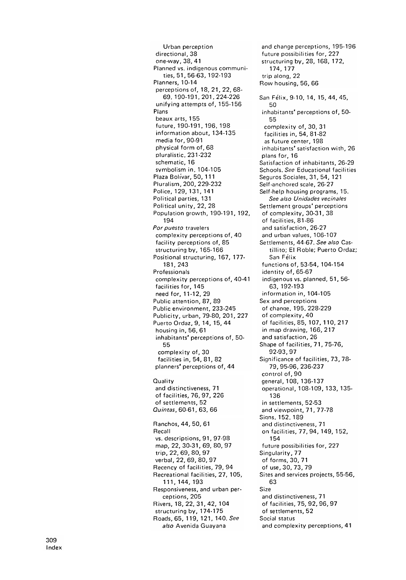Urban perception directional, 38 one-way, 38, 41 Planned vs. indigenous communi-, 51, 56-63, 192-193 Planners, 10-14 perceptions of, 18, 21, 22, 68- 69. 190-191. 201. 224-226 unifying attempts of, 155-156 Plans beaux arts, 155 future . 190-191. 196. 198 information about, 134-135 media for, 90-91 physical form of, 68 pluralistic, 231-232 schematic, 16 symbolism in. 104-105 Plaza Bolivar, 50, 111 Pluralism, 200, 229-232 Police, 129, 131, 141 Political parties, 131 Political unity, 22, 28 Population growth, 190-191, 192, 194 Por puesto travelers complexity perceptions of, 40 facility perceptions of, 85 structuring by, 165-166 Positional structuring, 167, 177-181, 243 Professionals complexity perceptions of, 40-41 facilities for, 145 need for, 11-12, 29 Public attention, 87, 89 Public environment, 233-245 Publicity, urban, 79-80, 201, 227 Puerto Ordaz, 9, 14, 15, 44 housing in, 56, 61 inhabitants' perceptions of, 50-55 complexity of, 30 facilities in, 54, 81, 82 planners' perceptions of, 44 Quality and distinctiveness, 71 of facilities, 76, 97, 226 of settlements, 52 Quintas, 60-61, 63, 66 Ranchos, 44, 50, 61 Recall vs. descriptions, 91, 97-98 map, 22, 30-31, 69, 80, 97 trip, 22, 69, 80, 97 verbal, 22, 69, 80, 97 Recency of facilities, 79, 94 Recreational facilities, 27, 105, 111 , 144 , 193 Responsiveness, and urban perceptions, 205 Rivers, 18, 22, 31, 42, 104 structuring by, 174-175 Roads, 65, 119, 121, 140. See also Avenida Guayana

and change perceptions, 195-196 future possibilities for, 227 structuring by, 28, 168, 172, 174, 177 trip along, 22 Row housing, 56, 66 San Felix, 9-10, 14, 15, 44, 45,  $50$ inhabitants' perceptions of, 50-55 complexity of, 30, 31 facilities in, 54, 81.82 as future center, 198 inhabitants' satisfaction with, 26 plans for, 16 Satisfaction of inhabitants, 26.29 Schools. See Educational facilities Seguros Sociales, 31, 54, 121 Self.anchored scale, 26-27 Self-help housing programs, 15. See also Unidades vecinales Settlement groups' perceptions of complexity, 30-31, 38 of facilities, 81-86 and satisfaction, 26-27 and urban values, 106-107 Settlements, 44-67. See also Castillito; El Roble; Puerto Ordaz; San Felix functions of , 53-54, 104-154 identity of, 65-67 indigenous vs. planned, 51, 56- 63, 192-193 information in, 104-105 Sex and perceptions of chanqe. 195. 228-229 of complexity, 40 of facilities , 85, 107, 110, 217 in map drawing, 166, 217 and satisfaction, 26 Shape of facilities, 71, 75-76, 92-93, 97 Significance of facilities, 73, 78-79, 95-96, 236-237 control of, 90 general, 108, 136-137 operational, 108-109, 133, 135- 136 in settlements, 52-53 and viewpoint, 71, 77-78 Siqns. 152. 189 and distinctiveness, 71 on facilities, 77, 94, 149, 152, 154 future possibilities for, 227 Singularity, 77 of forms, 30, 71 of use, 30, 73, 79 Sites and services projects, 55-56, 63 Size and distinctiveness, 71 of facilities, 75, 92, 96, 97 of settlements, 52 Social status and complexity perceptions, 41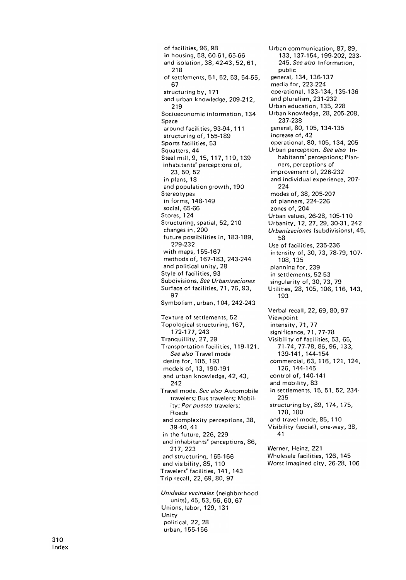of facilities, 96, 98 in housing, 58, 60-61, 65-66 and isolation, 38, 42-43, 52, 61, 218 of settlements, 51, 52, 53, 54-55, 67 structuring by, 171 and urban knowledge, 209-212, 219 Socioeconomic information, 134 Space around facilities, 93-94, 111 structuring of, 155-189 Sports facilities, 53 Squatters, 44 Steel mill, 9, 15, 117, 119, 139 inhabitants' perceptions of, 23 , 50 , 52 in plans, 18 and population growth, 190 **Stereo types** in forms, 148-149 social, 65-66 Stores, 124 Structuring, spatial, 52, 210 changes in , 200 future possibilities in, 183-189, 229-232 with maps, 155-167 methods of, 167-183, 243-244 and political unity, 28 Style of facilities, 93 Subdivisions. See Urbanizaciones Surface of facilities, 71, 76, 93, 97 Symbolism, urban, 104, 242-243 Texture of settlements, 52 Topological structuring, 167, 172-177, 243 Tranquillity, 27, 29 Transportation facilities, 119-121. See also Travel mode desire for, 105, 193 models of, 13, 190-191 and urban knowledge, 42, 43, 242 Travel mode. See also Automobile travelers; Bus travelers; Mobility; Por puesto travelers; Roads and complexity perceptions, 38, 39-40, 41 in the future, 226, 229 and inhabitants' perceptions, 86, 217 , 223 and structuring, 165-166 and visibility, 85, 110 Travelers' facilities, 141, 143 Trip recall , 22 , 69 , 80 , 97 Unidades vecinales (neighborhood

Unions, labor, 129, 131 Unity political, 22, 28 urban, 155-156 units), 45, 53, 56, 60, 67

Urban communication, 87, 89, 133, 137-154, 199-202, 233-245. See also Information, public general, 134, 136-137 media for, 223-224 operational, 133-134, 135-136 and pluralism, 231-232 Urban education, 135, 228 Urban knowledge, 28, 205-208, 237 - 238 general, 80, 105, 134-135 increase of, 42 operational, 80, 105, 134, 205 Urban perception. See also Inhabitants' perceptions; Planners, perceptions of improvement of, 226-232 and individual experience, 207-224 modes of, 38, 205-207 of planners, 224-226 zones of, 204 Urban values, 26-28, 105-110 Urbanity, 12, 27, 29, 30-31, 242 Urbanizaciones (subdivisions), 45, 58 Use of facilities, 235-236 intensity of, 30, 73, 78-79, 107-108, 135 planning for, 239 in settlements, 52-53 singularity of, 30, 73, 79 Utilities, 28, 105, 106, 116, 143, 193 Verbal recall, 22, 69, 80, 97 Viewpoint intensity, 71, 77 significance, 71, 77-78 Visibility of facilities, 53, 65, 71 -74 , 77 -78 , 86 , 96 , 133 , 139-141, 144-154 commercial, 63, 116, 121, 124, 126, 144-145 control of, 140-141 and mobility, 83 in settlements, 15, 51, 52, 234-235 structuring by, 89, 174, 175, 178, 180 and travel mode, 85, 110 Visibility (social), one-way, 38, 41 Werner, Heinz, 221

Wholesale facilities, 126, 145 Worst imagined city, 26-28, 106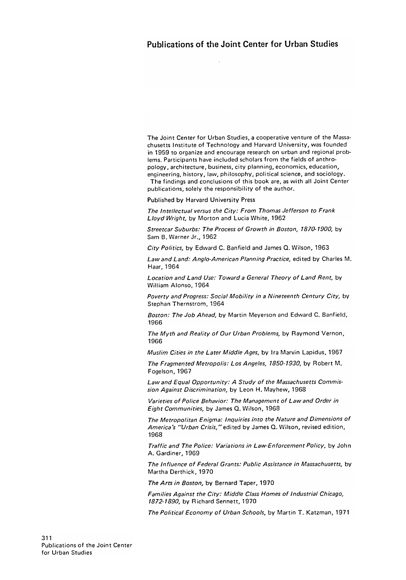The Joint Center for Urban Studies, a cooperative venture of the Massachusetts Institute of Technology and Harvard University, was founded in 1959 to organize and encourage research on urban and regional problems. Participants have included scholars from the fields of anthropology, architecture, business, city planning, economics, education, engineering, history, law, philosophy, political science, and sociology.

The findings and conclusions of this book are, as with all Joint Center publications, solely the responsibility of the author.

Published by Harvard University Press

The Intellectual versus the City: From Thomas Jefferson to Frank Lloyd Wright, by Morton and Lucia White, 1962

Streetcar Suburbs: The Process of Growth in Boston, 1870-1900, by Sam B. Warner Jr., 1962

City Politics, by Edward C. Banfield and James Q. Wilson, 1963

Law and Land: Anglo-American Planning Practice, edited by Charles M. Haar, 1964

Location and Land Use: Toward a General Theory of Land Rent, by William Alonso, 1964

Poverty and Progress: Social Mobility in a Nineteenth Century City, by Stephan Thernstrom, 1964

Boston: The Job Ahead, by Martin Meyerson and Edward C. Banfield, 1966

The Myth and Reality of Our Urban Problems, by Raymond Vernon, 1966

Muslim Cities in the Later Middle Ages, by Ira Marvin Lapidus, 1967

The Fragmented Metropolis: Los Angeles, 1850-1930, by Robert M. Fogelson, 1967

Law and Equal Opportunity: A Study of the Massachusetts Commission Against Discrimination, by Leon H. Mayhew, 1968

Varieties of Police Behavior: The Management of Law and Order in Eight Communities, by James Q. Wilson, 1968

The Metropolitan Enigma: Inquiries into the Nature and Dimensions of America's "Urban Crisis," edited by James Q. Wilson, revised edition, 1968

Traffic and The Police: Variations in Law-Enforcement Policy, by John A. Gardiner, 1969

The Influence of Federal Grants: Public Assistance in Massachusetts, by Martha Derthick , 1970

The Arts in Boston, by Bernard Taper, 1970

Families Against the City: Middle Class Homes of Industrial Chicago, 1872-1890, by Richard Sennett, 1970

The Political Economy of Urban Schools, by Martin T. Katzman, 1971